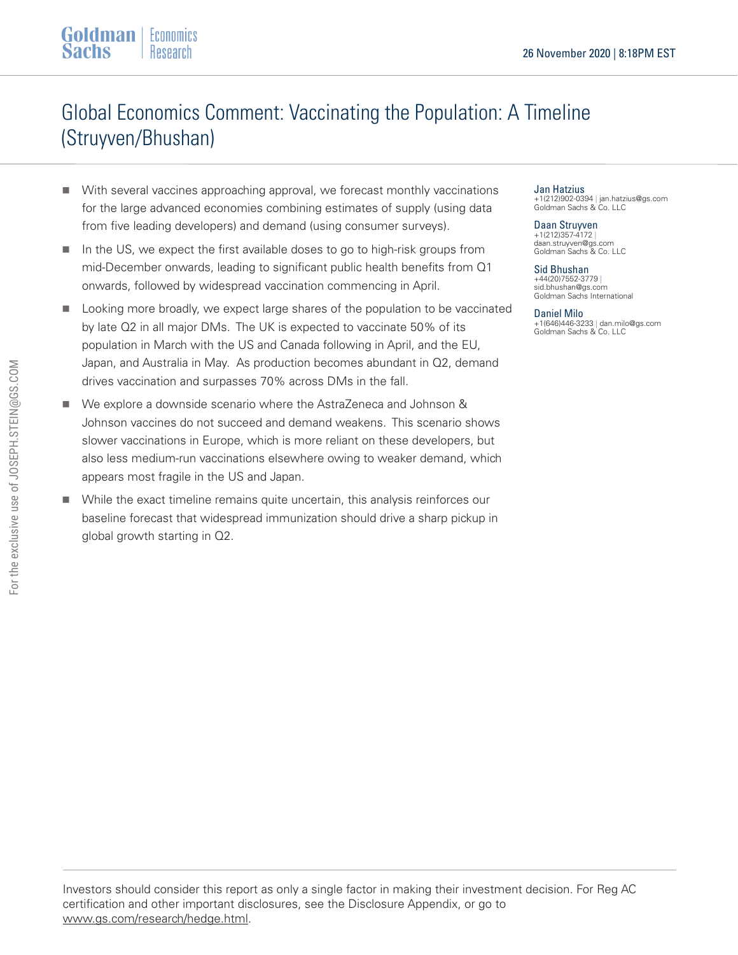# Global Economics Comment: Vaccinating the Population: A Timeline (Struyven/Bhushan)

- With several vaccines approaching approval, we forecast monthly vaccinations for the large advanced economies combining estimates of supply (using data from five leading developers) and demand (using consumer surveys).
- $\blacksquare$  In the US, we expect the first available doses to go to high-risk groups from mid-December onwards, leading to significant public health benefits from Q1 onwards, followed by widespread vaccination commencing in April.
- Looking more broadly, we expect large shares of the population to be vaccinated by late Q2 in all major DMs. The UK is expected to vaccinate 50% of its population in March with the US and Canada following in April, and the EU, Japan, and Australia in May. As production becomes abundant in Q2, demand drives vaccination and surpasses 70% across DMs in the fall.
- We explore a downside scenario where the AstraZeneca and Johnson & Johnson vaccines do not succeed and demand weakens. This scenario shows slower vaccinations in Europe, which is more reliant on these developers, but also less medium-run vaccinations elsewhere owing to weaker demand, which appears most fragile in the US and Japan.
- n While the exact timeline remains quite uncertain, this analysis reinforces our baseline forecast that widespread immunization should drive a sharp pickup in global growth starting in Q2.

**Jan Hatzius**<br>+1(212)902-0394 | [jan.hatzius@gs.com](mailto:jan.hatzius@gs.com?subject=Vaccinating%20the%20Population%3A%20A%20Timeline%20%28Struyven%2FBhushan%29)<br>Goldman Sachs & Co. LLC

Daan Struyven  $+1(212)357-4172$ [daan.struyven@gs.com](mailto:daan.struyven@gs.com?subject=Vaccinating%20the%20Population%3A%20A%20Timeline%20%28Struyven%2FBhushan%29) Goldman Sachs & Co. LLC

Sid Bhushan +44(20)7552-3779 | [sid.bhushan@gs.com](mailto:sid.bhushan@gs.com?subject=Vaccinating%20the%20Population%3A%20A%20Timeline%20%28Struyven%2FBhushan%29) Goldman Sachs International

Daniel Milo

+1(646)446-3233 | [dan.milo@gs.com](mailto:dan.milo@gs.com?subject=Vaccinating%20the%20Population%3A%20A%20Timeline%20%28Struyven%2FBhushan%29) Goldman Sachs & Co. LLC

Investors should consider this report as only a single factor in making their investment decision. For Reg AC certification and other important disclosures, see the Disclosure Appendix, or go to [www.gs.com/research/hedge.html.](https://www.gs.com/research/hedge.html)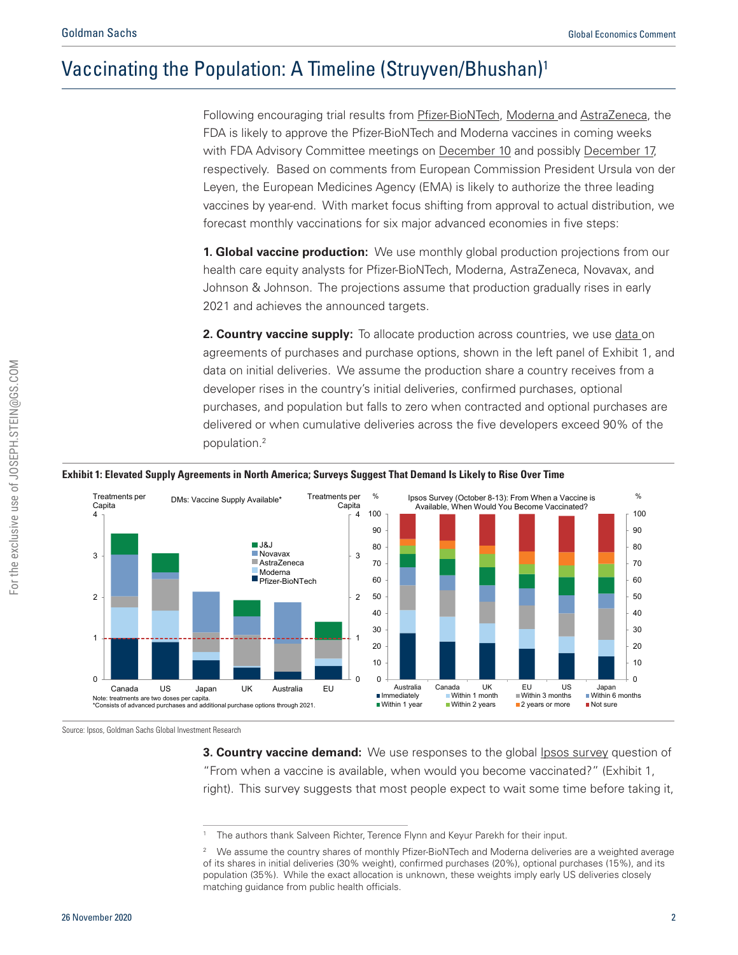# Vaccinating the Population: A Timeline (Struyven/Bhushan)1

Following encouraging trial results from [Pfizer-BioNTech,](https://research.gs.com/content/research/en/reports/2020/11/18/6221f134-4f5f-401f-99c3-60aaa9209900.html) [Moderna a](https://research.gs.com/content/research/en/reports/2020/11/16/2860303e-c9d2-45b5-9452-62975f1da37e.html)nd [AstraZeneca,](https://research.gs.com/content/research/en/reports/2020/11/23/4e8f0608-56c9-44eb-a1f8-fb7cabb733e4.html) the FDA is likely to approve the Pfizer-BioNTech and Moderna vaccines in coming weeks with FDA Advisory Committee meetings on [December 10](https://www.fda.gov/news-events/press-announcements/coronavirus-covid-19-update-fda-announces-advisory-committee-meeting-discuss-covid-19-vaccine) and possibly [December 17,](https://research.gs.com/content/research/en/reports/2020/11/25/4f5d2756-71bf-4eb6-8f1c-68811cefdfcc.html) respectively. Based on comments from European Commission President Ursula von der Leyen, the European Medicines Agency (EMA) is likely to authorize the three leading vaccines by year-end. With market focus shifting from approval to actual distribution, we forecast monthly vaccinations for six major advanced economies in five steps:

**1. Global vaccine production:** We use monthly global production projections from our health care equity analysts for Pfizer-BioNTech, Moderna, AstraZeneca, Novavax, and Johnson & Johnson. The projections assume that production gradually rises in early 2021 and achieves the announced targets.

**2. Country vaccine supply:** To allocate production across countries, we use [data o](https://research.gs.com/content/research/en/reports/2020/11/20/c0b86304-801f-468b-9ac3-554a1b803bcd.html)n agreements of purchases and purchase options, shown in the left panel of Exhibit 1, and data on initial deliveries. We assume the production share a country receives from a developer rises in the country's initial deliveries, confirmed purchases, optional purchases, and population but falls to zero when contracted and optional purchases are delivered or when cumulative deliveries across the five developers exceed 90% of the population.2

#### **Exhibit 1: Elevated Supply Agreements in North America; Surveys Suggest That Demand Is Likely to Rise Over Time**



Source: Ipsos, Goldman Sachs Global Investment Research

**3. Country vaccine demand:** We use responses to the global [Ipsos survey](https://www.ipsos.com/en-us/news-polls/global-attitudes-covid-19-vaccine-october-2020) question of "From when a vaccine is available, when would you become vaccinated?" (Exhibit 1, right). This survey suggests that most people expect to wait some time before taking it,

The authors thank Salveen Richter, Terence Flynn and Keyur Parekh for their input.

<sup>2</sup> We assume the country shares of monthly Pfizer-BioNTech and Moderna deliveries are a weighted average of its shares in initial deliveries (30% weight), confirmed purchases (20%), optional purchases (15%), and its population (35%). While the exact allocation is unknown, these weights imply early US deliveries closely matching guidance from public health officials.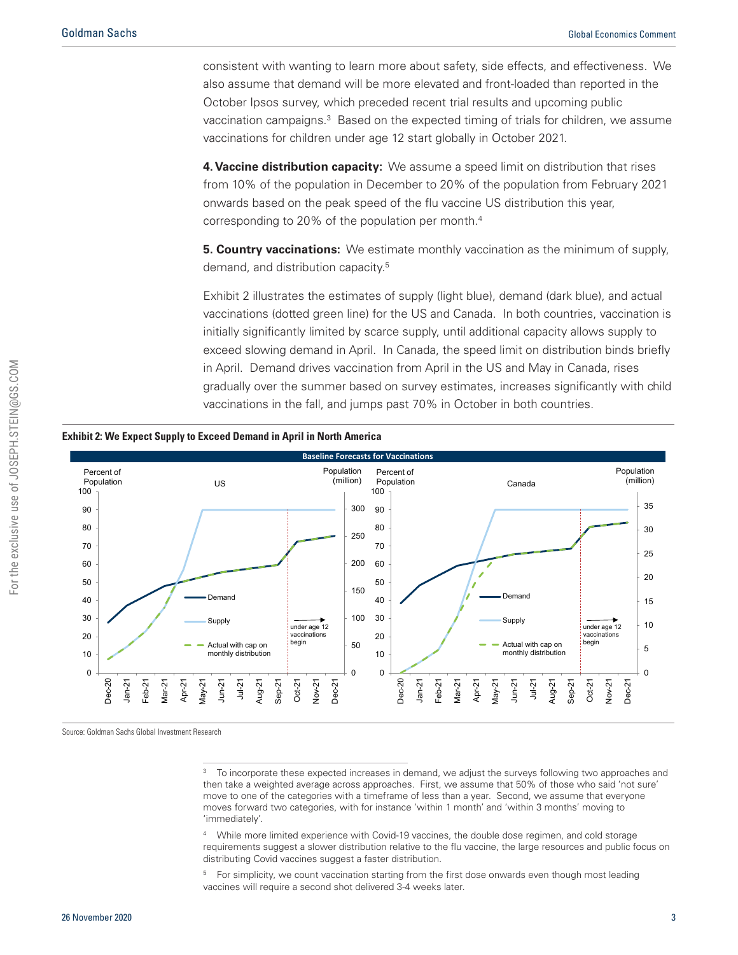consistent with wanting to learn more about safety, side effects, and effectiveness. We also assume that demand will be more elevated and front-loaded than reported in the October Ipsos survey, which preceded recent trial results and upcoming public vaccination campaigns.3 Based on the expected timing of trials for children, we assume vaccinations for children under age 12 start globally in October 2021.

**4. Vaccine distribution capacity:** We assume a speed limit on distribution that rises from 10% of the population in December to 20% of the population from February 2021 onwards based on the peak speed of the flu vaccine US distribution this year, corresponding to 20% of the population per month.4

**5. Country vaccinations:** We estimate monthly vaccination as the minimum of supply, demand, and distribution capacity.5

Exhibit 2 illustrates the estimates of supply (light blue), demand (dark blue), and actual vaccinations (dotted green line) for the US and Canada. In both countries, vaccination is initially significantly limited by scarce supply, until additional capacity allows supply to exceed slowing demand in April. In Canada, the speed limit on distribution binds briefly in April. Demand drives vaccination from April in the US and May in Canada, rises gradually over the summer based on survey estimates, increases significantly with child vaccinations in the fall, and jumps past 70% in October in both countries.

**Exhibit 2: We Expect Supply to Exceed Demand in April in North America**



Source: Goldman Sachs Global Investment Research

<sup>3</sup> To incorporate these expected increases in demand, we adjust the surveys following two approaches and then take a weighted average across approaches. First, we assume that 50% of those who said 'not sure' move to one of the categories with a timeframe of less than a year. Second, we assume that everyone moves forward two categories, with for instance 'within 1 month' and 'within 3 months' moving to 'immediately'.

While more limited experience with Covid-19 vaccines, the double dose regimen, and cold storage requirements suggest a slower distribution relative to the flu vaccine, the large resources and public focus on distributing Covid vaccines suggest a faster distribution.

<sup>5</sup> For simplicity, we count vaccination starting from the first dose onwards even though most leading vaccines will require a second shot delivered 3-4 weeks later.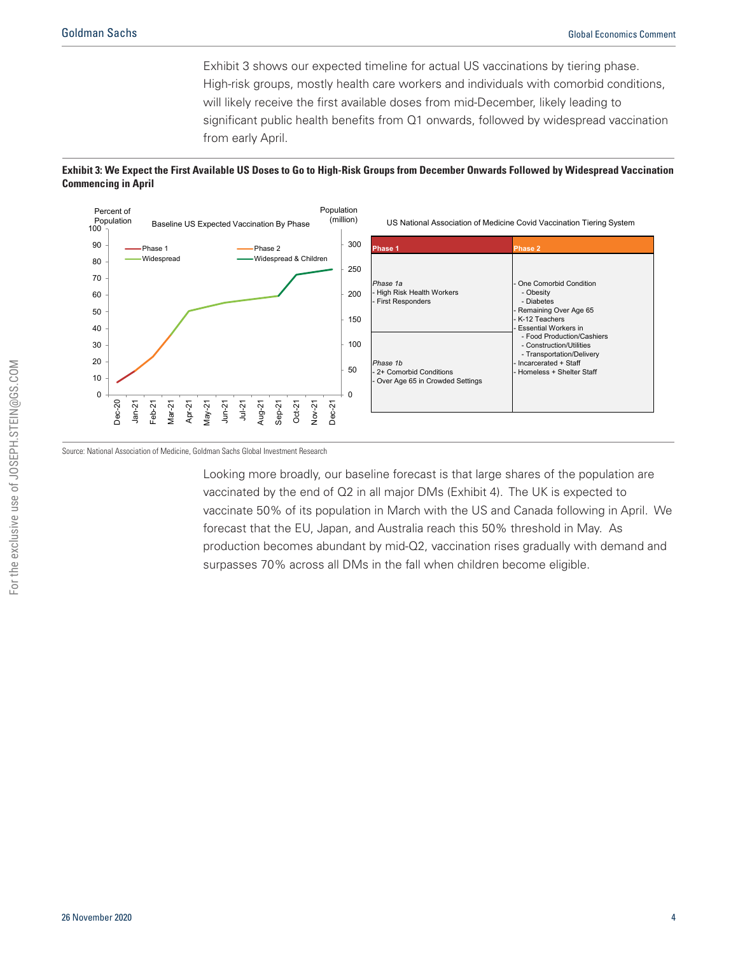Exhibit 3 shows our expected timeline for actual US vaccinations by tiering phase. High-risk groups, mostly health care workers and individuals with comorbid conditions, will likely receive the first available doses from mid-December, likely leading to significant public health benefits from Q1 onwards, followed by widespread vaccination from early April.





Source: National Association of Medicine, Goldman Sachs Global Investment Research

Looking more broadly, our baseline forecast is that large shares of the population are vaccinated by the end of Q2 in all major DMs (Exhibit 4). The UK is expected to vaccinate 50% of its population in March with the US and Canada following in April. We forecast that the EU, Japan, and Australia reach this 50% threshold in May. As production becomes abundant by mid-Q2, vaccination rises gradually with demand and surpasses 70% across all DMs in the fall when children become eligible.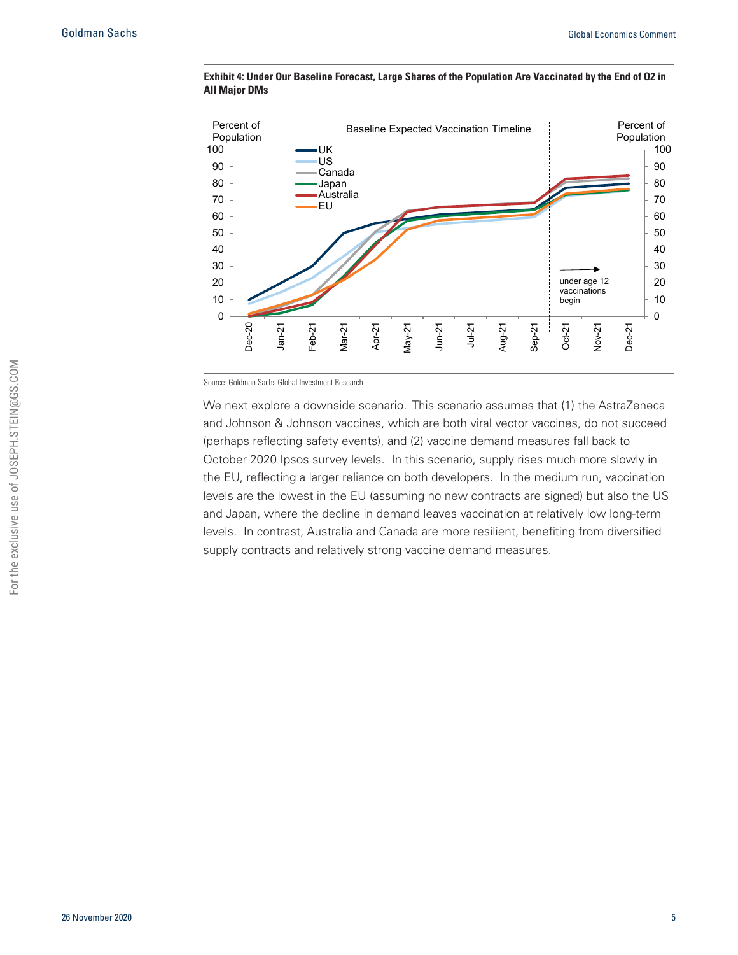

**Exhibit 4: Under Our Baseline Forecast, Large Shares of the Population Are Vaccinated by the End of Q2 in All Major DMs**

Source: Goldman Sachs Global Investment Research

We next explore a downside scenario. This scenario assumes that (1) the AstraZeneca and Johnson & Johnson vaccines, which are both viral vector vaccines, do not succeed (perhaps reflecting safety events), and (2) vaccine demand measures fall back to October 2020 Ipsos survey levels. In this scenario, supply rises much more slowly in the EU, reflecting a larger reliance on both developers. In the medium run, vaccination levels are the lowest in the EU (assuming no new contracts are signed) but also the US and Japan, where the decline in demand leaves vaccination at relatively low long-term levels. In contrast, Australia and Canada are more resilient, benefiting from diversified supply contracts and relatively strong vaccine demand measures.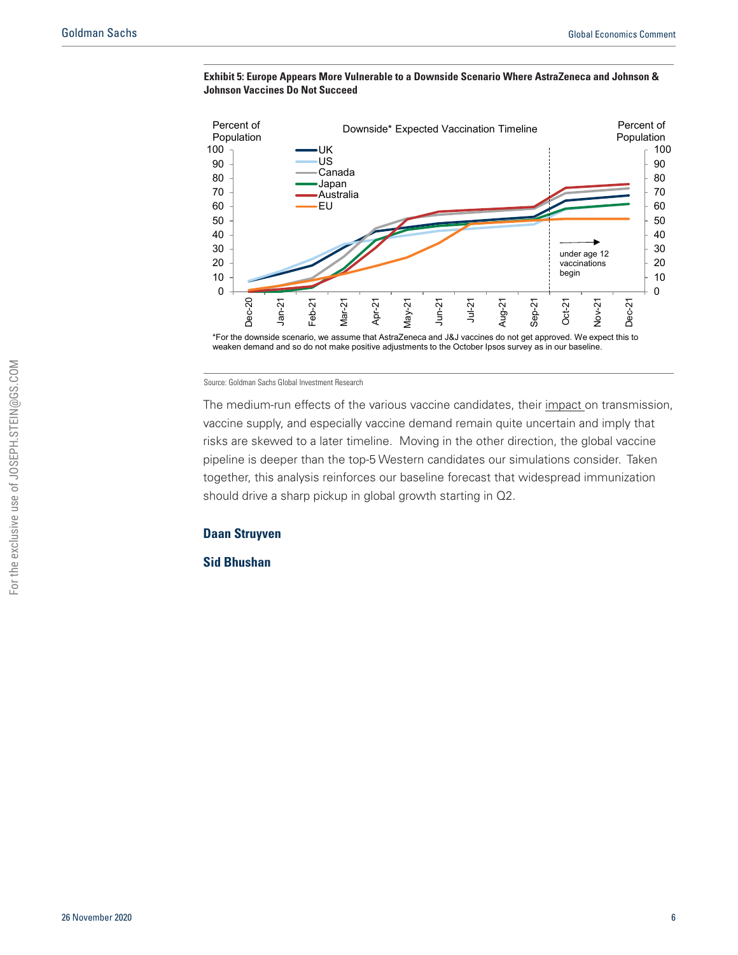

**Exhibit 5: Europe Appears More Vulnerable to a Downside Scenario Where AstraZeneca and Johnson & Johnson Vaccines Do Not Succeed**

Source: Goldman Sachs Global Investment Research

The medium-run effects of the various vaccine candidates, their [impact o](https://research.gs.com/content/research/en/reports/2020/11/18/2a713571-07fc-4b13-a2fe-9cb5abc2853c.html)n transmission, vaccine supply, and especially vaccine demand remain quite uncertain and imply that risks are skewed to a later timeline. Moving in the other direction, the global vaccine pipeline is deeper than the top-5 Western candidates our simulations consider. Taken together, this analysis reinforces our baseline forecast that widespread immunization should drive a sharp pickup in global growth starting in Q2.

### **Daan Struyven**

### **Sid Bhushan**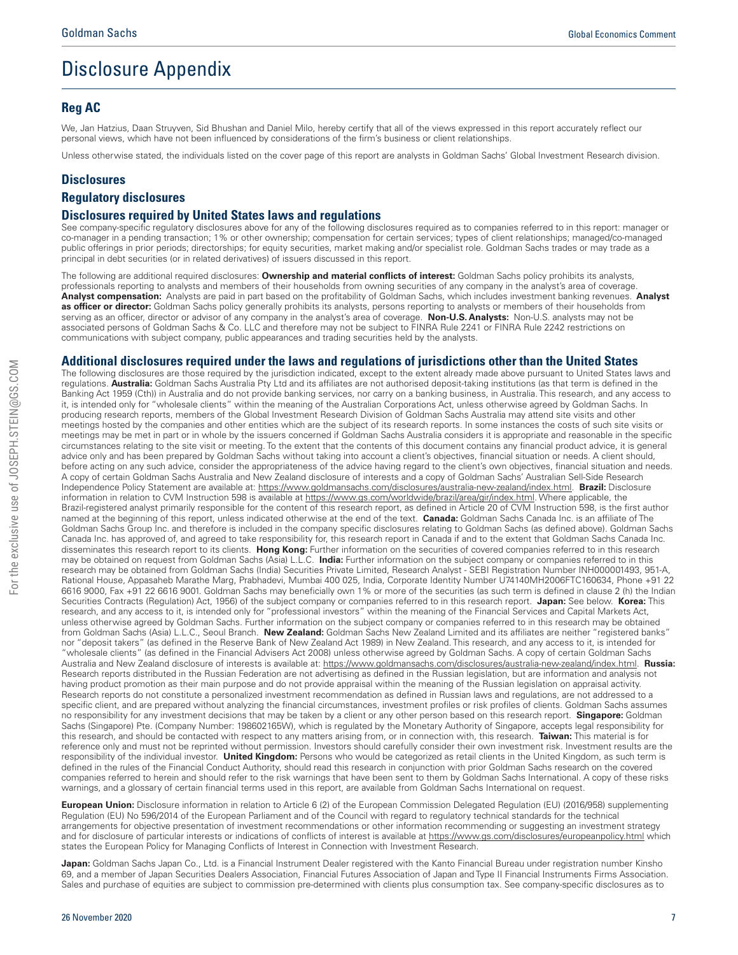# Disclosure Appendix

## **Reg AC**

We, Jan Hatzius, Daan Struyven, Sid Bhushan and Daniel Milo, hereby certify that all of the views expressed in this report accurately reflect our personal views, which have not been influenced by considerations of the firm's business or client relationships.

Unless otherwise stated, the individuals listed on the cover page of this report are analysts in Goldman Sachs' Global Investment Research division.

### **Disclosures**

#### **Regulatory disclosures**

#### **Disclosures required by United States laws and regulations**

See company-specific regulatory disclosures above for any of the following disclosures required as to companies referred to in this report: manager or co-manager in a pending transaction; 1% or other ownership; compensation for certain services; types of client relationships; managed/co-managed public offerings in prior periods; directorships; for equity securities, market making and/or specialist role. Goldman Sachs trades or may trade as a principal in debt securities (or in related derivatives) of issuers discussed in this report.

The following are additional required disclosures: **Ownership and material conflicts of interest:** Goldman Sachs policy prohibits its analysts, professionals reporting to analysts and members of their households from owning securities of any company in the analyst's area of coverage. **Analyst compensation:** Analysts are paid in part based on the profitability of Goldman Sachs, which includes investment banking revenues. **Analyst** as officer or director: Goldman Sachs policy generally prohibits its analysts, persons reporting to analysts or members of their households from serving as an officer, director or advisor of any company in the analyst's area of coverage. **Non-U.S. Analysts:** Non-U.S. analysts may not be associated persons of Goldman Sachs & Co. LLC and therefore may not be subject to FINRA Rule 2241 or FINRA Rule 2242 restrictions on communications with subject company, public appearances and trading securities held by the analysts.

#### **Additional disclosures required under the laws and regulations of jurisdictions other than the United States**

The following disclosures are those required by the jurisdiction indicated, except to the extent already made above pursuant to United States laws and regulations. **Australia:** Goldman Sachs Australia Pty Ltd and its affiliates are not authorised deposit-taking institutions (as that term is defined in the Banking Act 1959 (Cth)) in Australia and do not provide banking services, nor carry on a banking business, in Australia. This research, and any access to it, is intended only for "wholesale clients" within the meaning of the Australian Corporations Act, unless otherwise agreed by Goldman Sachs. In producing research reports, members of the Global Investment Research Division of Goldman Sachs Australia may attend site visits and other meetings hosted by the companies and other entities which are the subject of its research reports. In some instances the costs of such site visits or meetings may be met in part or in whole by the issuers concerned if Goldman Sachs Australia considers it is appropriate and reasonable in the specific circumstances relating to the site visit or meeting. To the extent that the contents of this document contains any financial product advice, it is general advice only and has been prepared by Goldman Sachs without taking into account a client's objectives, financial situation or needs. A client should, before acting on any such advice, consider the appropriateness of the advice having regard to the client's own objectives, financial situation and needs. A copy of certain Goldman Sachs Australia and New Zealand disclosure of interests and a copy of Goldman Sachs' Australian Sell-Side Research Independence Policy Statement are available at: [https://www.goldmansachs.com/disclosures/australia-new-zealand/index.html.](https://www.goldmansachs.com/disclosures/australia-new-zealand/index.html) **Brazil:** Disclosure information in relation to CVM Instruction 598 is available at [https://www.gs.com/worldwide/brazil/area/gir/index.html.](https://www.gs.com/worldwide/brazil/area/gir/index.html) Where applicable, the Brazil-registered analyst primarily responsible for the content of this research report, as defined in Article 20 of CVM Instruction 598, is the first author named at the beginning of this report, unless indicated otherwise at the end of the text. **Canada:** Goldman Sachs Canada Inc. is an affiliate of The Goldman Sachs Group Inc. and therefore is included in the company specific disclosures relating to Goldman Sachs (as defined above). Goldman Sachs Canada Inc. has approved of, and agreed to take responsibility for, this research report in Canada if and to the extent that Goldman Sachs Canada Inc. disseminates this research report to its clients. **Hong Kong:** Further information on the securities of covered companies referred to in this research may be obtained on request from Goldman Sachs (Asia) L.L.C. **India:** Further information on the subject company or companies referred to in this research may be obtained from Goldman Sachs (India) Securities Private Limited, Research Analyst - SEBI Registration Number INH000001493, 951-A, Rational House, Appasaheb Marathe Marg, Prabhadevi, Mumbai 400 025, India, Corporate Identity Number U74140MH2006FTC160634, Phone +91 22 6616 9000, Fax +91 22 6616 9001. Goldman Sachs may beneficially own 1% or more of the securities (as such term is defined in clause 2 (h) the Indian Securities Contracts (Regulation) Act, 1956) of the subject company or companies referred to in this research report. **Japan:** See below. **Korea:** This research, and any access to it, is intended only for "professional investors" within the meaning of the Financial Services and Capital Markets Act, unless otherwise agreed by Goldman Sachs. Further information on the subject company or companies referred to in this research may be obtained from Goldman Sachs (Asia) L.L.C., Seoul Branch. **New Zealand:** Goldman Sachs New Zealand Limited and its affiliates are neither "registered banks" nor "deposit takers" (as defined in the Reserve Bank of New Zealand Act 1989) in New Zealand. This research, and any access to it, is intended for "wholesale clients" (as defined in the Financial Advisers Act 2008) unless otherwise agreed by Goldman Sachs. A copy of certain Goldman Sachs Australia and New Zealand disclosure of interests is available at: [https://www.goldmansachs.com/disclosures/australia-new-zealand/index.html.](https://www.goldmansachs.com/disclosures/australia-new-zealand/index.html) **Russia:** Research reports distributed in the Russian Federation are not advertising as defined in the Russian legislation, but are information and analysis not having product promotion as their main purpose and do not provide appraisal within the meaning of the Russian legislation on appraisal activity. Research reports do not constitute a personalized investment recommendation as defined in Russian laws and regulations, are not addressed to a specific client, and are prepared without analyzing the financial circumstances, investment profiles or risk profiles of clients. Goldman Sachs assumes no responsibility for any investment decisions that may be taken by a client or any other person based on this research report. **Singapore:** Goldman Sachs (Singapore) Pte. (Company Number: 198602165W), which is regulated by the Monetary Authority of Singapore, accepts legal responsibility for this research, and should be contacted with respect to any matters arising from, or in connection with, this research. **Taiwan:** This material is for reference only and must not be reprinted without permission. Investors should carefully consider their own investment risk. Investment results are the responsibility of the individual investor. **United Kingdom:** Persons who would be categorized as retail clients in the United Kingdom, as such term is defined in the rules of the Financial Conduct Authority, should read this research in conjunction with prior Goldman Sachs research on the covered companies referred to herein and should refer to the risk warnings that have been sent to them by Goldman Sachs International. A copy of these risks warnings, and a glossary of certain financial terms used in this report, are available from Goldman Sachs International on request.

**European Union:** Disclosure information in relation to Article 6 (2) of the European Commission Delegated Regulation (EU) (2016/958) supplementing Regulation (EU) No 596/2014 of the European Parliament and of the Council with regard to regulatory technical standards for the technical arrangements for objective presentation of investment recommendations or other information recommending or suggesting an investment strategy and for disclosure of particular interests or indications of conflicts of interest is available at<https://www.gs.com/disclosures/europeanpolicy.html>which states the European Policy for Managing Conflicts of Interest in Connection with Investment Research.

**Japan:** Goldman Sachs Japan Co., Ltd. is a Financial Instrument Dealer registered with the Kanto Financial Bureau under registration number Kinsho 69, and a member of Japan Securities Dealers Association, Financial Futures Association of Japan and Type II Financial Instruments Firms Association. Sales and purchase of equities are subject to commission pre-determined with clients plus consumption tax. See company-specific disclosures as to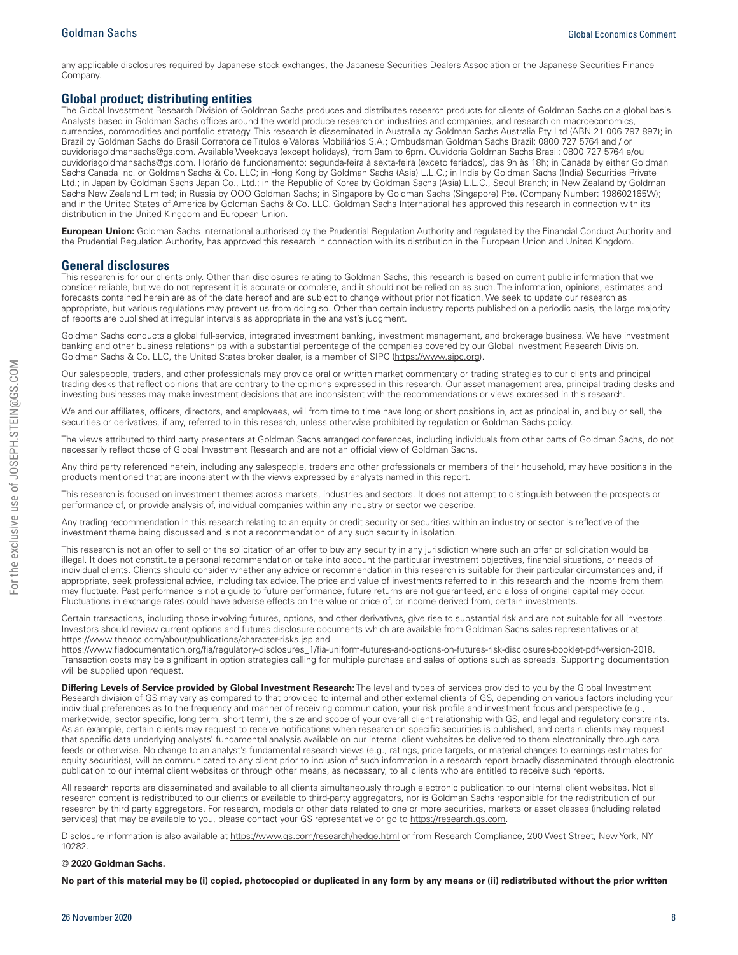any applicable disclosures required by Japanese stock exchanges, the Japanese Securities Dealers Association or the Japanese Securities Finance Company.

#### **Global product; distributing entities**

The Global Investment Research Division of Goldman Sachs produces and distributes research products for clients of Goldman Sachs on a global basis. Analysts based in Goldman Sachs offices around the world produce research on industries and companies, and research on macroeconomics, currencies, commodities and portfolio strategy. This research is disseminated in Australia by Goldman Sachs Australia Pty Ltd (ABN 21 006 797 897); in Brazil by Goldman Sachs do Brasil Corretora de Títulos e Valores Mobiliários S.A.; Ombudsman Goldman Sachs Brazil: 0800 727 5764 and / or ouvidoriagoldmansachs@gs.com. Available Weekdays (except holidays), from 9am to 6pm. Ouvidoria Goldman Sachs Brasil: 0800 727 5764 e/ou ouvidoriagoldmansachs@gs.com. Horário de funcionamento: segunda-feira à sexta-feira (exceto feriados), das 9h às 18h; in Canada by either Goldman Sachs Canada Inc. or Goldman Sachs & Co. LLC; in Hong Kong by Goldman Sachs (Asia) L.L.C.; in India by Goldman Sachs (India) Securities Private Ltd.; in Japan by Goldman Sachs Japan Co., Ltd.; in the Republic of Korea by Goldman Sachs (Asia) L.L.C., Seoul Branch; in New Zealand by Goldman Sachs New Zealand Limited; in Russia by OOO Goldman Sachs; in Singapore by Goldman Sachs (Singapore) Pte. (Company Number: 198602165W); and in the United States of America by Goldman Sachs & Co. LLC. Goldman Sachs International has approved this research in connection with its distribution in the United Kingdom and European Union.

**European Union:** Goldman Sachs International authorised by the Prudential Regulation Authority and regulated by the Financial Conduct Authority and the Prudential Regulation Authority, has approved this research in connection with its distribution in the European Union and United Kingdom.

#### **General disclosures**

This research is for our clients only. Other than disclosures relating to Goldman Sachs, this research is based on current public information that we consider reliable, but we do not represent it is accurate or complete, and it should not be relied on as such. The information, opinions, estimates and forecasts contained herein are as of the date hereof and are subject to change without prior notification. We seek to update our research as appropriate, but various regulations may prevent us from doing so. Other than certain industry reports published on a periodic basis, the large majority of reports are published at irregular intervals as appropriate in the analyst's judgment.

Goldman Sachs conducts a global full-service, integrated investment banking, investment management, and brokerage business. We have investment banking and other business relationships with a substantial percentage of the companies covered by our Global Investment Research Division. Goldman Sachs & Co. LLC, the United States broker dealer, is a member of SIPC [\(https://www.sipc.org\)](https://www.sipc.org).

Our salespeople, traders, and other professionals may provide oral or written market commentary or trading strategies to our clients and principal trading desks that reflect opinions that are contrary to the opinions expressed in this research. Our asset management area, principal trading desks and investing businesses may make investment decisions that are inconsistent with the recommendations or views expressed in this research.

We and our affiliates, officers, directors, and employees, will from time to time have long or short positions in, act as principal in, and buy or sell, the securities or derivatives, if any, referred to in this research, unless otherwise prohibited by regulation or Goldman Sachs policy.

The views attributed to third party presenters at Goldman Sachs arranged conferences, including individuals from other parts of Goldman Sachs, do not necessarily reflect those of Global Investment Research and are not an official view of Goldman Sachs.

Any third party referenced herein, including any salespeople, traders and other professionals or members of their household, may have positions in the products mentioned that are inconsistent with the views expressed by analysts named in this report.

This research is focused on investment themes across markets, industries and sectors. It does not attempt to distinguish between the prospects or performance of, or provide analysis of, individual companies within any industry or sector we describe.

Any trading recommendation in this research relating to an equity or credit security or securities within an industry or sector is reflective of the investment theme being discussed and is not a recommendation of any such security in isolation.

This research is not an offer to sell or the solicitation of an offer to buy any security in any jurisdiction where such an offer or solicitation would be illegal. It does not constitute a personal recommendation or take into account the particular investment objectives, financial situations, or needs of individual clients. Clients should consider whether any advice or recommendation in this research is suitable for their particular circumstances and, if appropriate, seek professional advice, including tax advice. The price and value of investments referred to in this research and the income from them may fluctuate. Past performance is not a guide to future performance, future returns are not guaranteed, and a loss of original capital may occur. Fluctuations in exchange rates could have adverse effects on the value or price of, or income derived from, certain investments.

Certain transactions, including those involving futures, options, and other derivatives, give rise to substantial risk and are not suitable for all investors. Investors should review current options and futures disclosure documents which are available from Goldman Sachs sales representatives or at <https://www.theocc.com/about/publications/character-risks.jsp>and

[https://www.fiadocumentation.org/fia/regulatory-disclosures\\_1/fia-uniform-futures-and-options-on-futures-risk-disclosures-booklet-pdf-version-2018.](https://www.fiadocumentation.org/fia/regulatory-disclosures_1/fia-uniform-futures-and-options-on-futures-risk-disclosures-booklet-pdf-version-2018) Transaction costs may be significant in option strategies calling for multiple purchase and sales of options such as spreads. Supporting documentation will be supplied upon request.

**Differing Levels of Service provided by Global Investment Research:** The level and types of services provided to you by the Global Investment Research division of GS may vary as compared to that provided to internal and other external clients of GS, depending on various factors including your individual preferences as to the frequency and manner of receiving communication, your risk profile and investment focus and perspective (e.g., marketwide, sector specific, long term, short term), the size and scope of your overall client relationship with GS, and legal and regulatory constraints. As an example, certain clients may request to receive notifications when research on specific securities is published, and certain clients may request that specific data underlying analysts' fundamental analysis available on our internal client websites be delivered to them electronically through data feeds or otherwise. No change to an analyst's fundamental research views (e.g., ratings, price targets, or material changes to earnings estimates for equity securities), will be communicated to any client prior to inclusion of such information in a research report broadly disseminated through electronic publication to our internal client websites or through other means, as necessary, to all clients who are entitled to receive such reports.

All research reports are disseminated and available to all clients simultaneously through electronic publication to our internal client websites. Not all research content is redistributed to our clients or available to third-party aggregators, nor is Goldman Sachs responsible for the redistribution of our research by third party aggregators. For research, models or other data related to one or more securities, markets or asset classes (including related services) that may be available to you, please contact your GS representative or go to [https://research.gs.com.](https://research.gs.com)

Disclosure information is also available at<https://www.gs.com/research/hedge.html>or from Research Compliance, 200 West Street, New York, NY 10282.

#### **© 2020 Goldman Sachs.**

**No part of this material may be (i) copied, photocopied or duplicated in any form by any means or (ii) redistributed without the prior written**